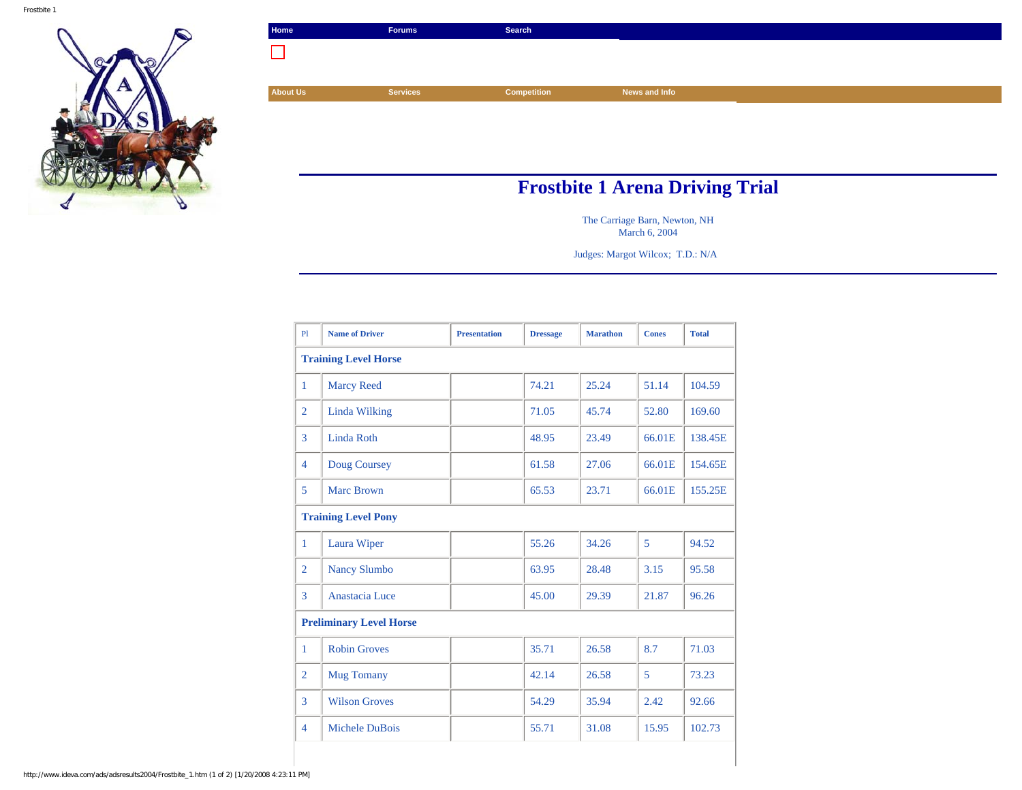

| Home                                   | <b>Forums</b>   | Search             |               |  |  |  |  |
|----------------------------------------|-----------------|--------------------|---------------|--|--|--|--|
|                                        |                 |                    |               |  |  |  |  |
|                                        |                 |                    |               |  |  |  |  |
| <b>About Us</b>                        | <b>Services</b> | <b>Competition</b> | News and Info |  |  |  |  |
|                                        |                 |                    |               |  |  |  |  |
|                                        |                 |                    |               |  |  |  |  |
|                                        |                 |                    |               |  |  |  |  |
|                                        |                 |                    |               |  |  |  |  |
| <b>Frostbite 1 Arena Driving Trial</b> |                 |                    |               |  |  |  |  |

The Carriage Barn, Newton, NH March 6, 2004

Judges: Margot Wilcox; T.D.: N/A

| P1                          | <b>Name of Driver</b>          | <b>Presentation</b> | <b>Dressage</b> | <b>Marathon</b> | <b>Cones</b> | <b>Total</b> |  |  |  |
|-----------------------------|--------------------------------|---------------------|-----------------|-----------------|--------------|--------------|--|--|--|
| <b>Training Level Horse</b> |                                |                     |                 |                 |              |              |  |  |  |
| 1                           | <b>Marcy Reed</b>              |                     | 74.21           | 25.24           | 51.14        | 104.59       |  |  |  |
| $\overline{2}$              | Linda Wilking                  |                     | 71.05           | 45.74           | 52.80        | 169.60       |  |  |  |
| 3                           | Linda Roth                     |                     | 48.95           | 23.49           | 66.01E       | 138.45E      |  |  |  |
| $\overline{4}$              | Doug Coursey                   |                     | 61.58           | 27.06           | 66.01E       | 154.65E      |  |  |  |
| 5                           | <b>Marc Brown</b>              |                     | 65.53           | 23.71           | 66.01E       | 155.25E      |  |  |  |
|                             | <b>Training Level Pony</b>     |                     |                 |                 |              |              |  |  |  |
| $\mathbf{1}$                | Laura Wiper                    |                     | 55.26           | 34.26           | 5            | 94.52        |  |  |  |
| $\overline{2}$              | <b>Nancy Slumbo</b>            |                     | 63.95           | 28.48           | 3.15         | 95.58        |  |  |  |
| 3                           | Anastacia Luce                 |                     | 45.00           | 29.39           | 21.87        | 96.26        |  |  |  |
|                             | <b>Preliminary Level Horse</b> |                     |                 |                 |              |              |  |  |  |
| $\mathbf{1}$                | <b>Robin Groves</b>            |                     | 35.71           | 26.58           | 8.7          | 71.03        |  |  |  |
| $\overline{2}$              | <b>Mug Tomany</b>              |                     | 42.14           | 26.58           | 5            | 73.23        |  |  |  |
| 3                           | <b>Wilson Groves</b>           |                     | 54.29           | 35.94           | 2.42         | 92.66        |  |  |  |
| $\overline{4}$              | Michele DuBois                 |                     | 55.71           | 31.08           | 15.95        | 102.73       |  |  |  |